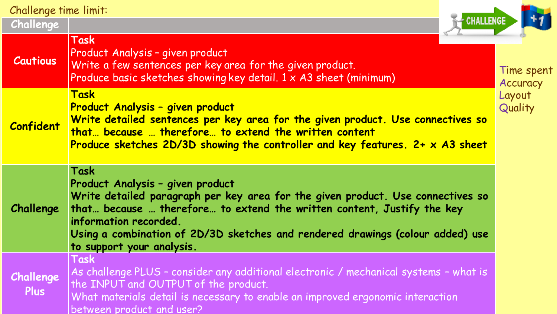Challenge time limit:

**Task**

**Challenge**

| <b>CHALLENGE</b> |            |
|------------------|------------|
|                  | Time spent |

| <b>Cautious</b>          | Product Analysis - given product<br>Write a few sentences per key area for the given product.<br>Produce basic sketches showing key detail. 1 x A3 sheet (minimum)<br><b>Task</b><br>Product Analysis - given product<br>Write detailed sentences per key area for the given product. Use connectives so<br>that because  therefore to extend the written content<br>Produce sketches 2D/3D showing the controller and key features. 2+ x A3 sheet |  |
|--------------------------|----------------------------------------------------------------------------------------------------------------------------------------------------------------------------------------------------------------------------------------------------------------------------------------------------------------------------------------------------------------------------------------------------------------------------------------------------|--|
| <b>Confident</b>         |                                                                                                                                                                                                                                                                                                                                                                                                                                                    |  |
| Challenge                | Task<br>Product Analysis - given product<br>Write detailed paragraph per key area for the given product. Use connectives so<br>that because  therefore to extend the written content, Justify the key<br>information recorded.<br>Using a combination of 2D/3D sketches and rendered drawings (colour added) use<br>to support your analysis.                                                                                                      |  |
| Challenge<br><b>Plus</b> | Task<br>As challenge PLUS - consider any additional electronic / mechanical systems - what is<br>the INPUT and OUTPUT of the product.<br>What materials detail is necessary to enable an improved ergonomic interaction<br>between product and user?                                                                                                                                                                                               |  |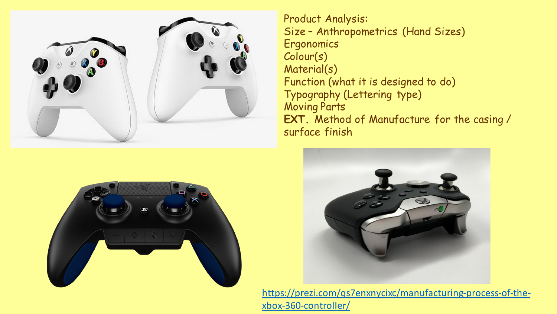

Product Analysis: Size – Anthropometrics (Hand Sizes) **Ergonomics** Colour(s) Material(s) Function (what it is designed to do) Typography (Lettering type) Moving Parts **EXT.** Method of Manufacture for the casing / surface finish





[https://prezi.com/qs7enxnycixc/manufacturing-process-of-the](https://prezi.com/qs7enxnycixc/manufacturing-process-of-the-xbox-360-controller/)xbox-360-controller/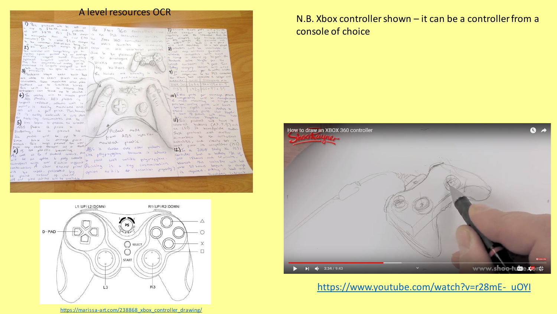

console of choice



## [https://www.youtube.com/watch?v=r28mE-\\_uOYI](https://www.youtube.com/watch?v=r28mE-_uOYI)

[https://marissa-art.com/238868\\_xbox\\_controller\\_drawing/](https://marissa-art.com/238868_xbox_controller_drawing/)

 $\overline{13}$ 

SELECT

 $R3$ 

START

 $\times$ 

 $\Box$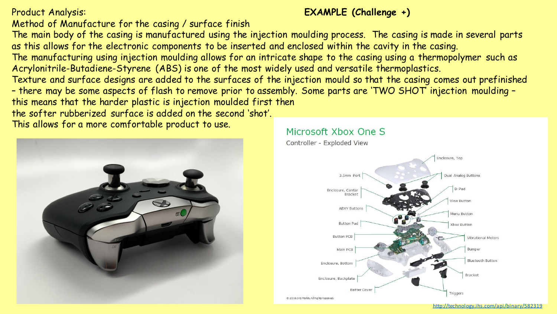# Method of Manufacture for the casing / surface finish

The main body of the casing is manufactured using the injection moulding process. The casing is made in several parts as this allows for the electronic components to be inserted and enclosed within the cavity in the casing.

The manufacturing using injection moulding allows for an intricate shape to the casing using a thermopolymer such as Acrylonitrile-Butadiene-Styrene (ABS) is one of the most widely used and versatile thermoplastics.

Texture and surface designs are added to the surfaces of the injection mould so that the casing comes out prefinished – there may be some aspects of flash to remove prior to assembly. Some parts are 'TWO SHOT' injection moulding – this means that the harder plastic is injection moulded first then

the softer rubberized surface is added on the second 'shot'.

This allows for a more comfortable product to use.



### Microsoft Xbox One S

Controller - Exploded View



# Product Analysis: **EXAMPLE (Challenge +)**